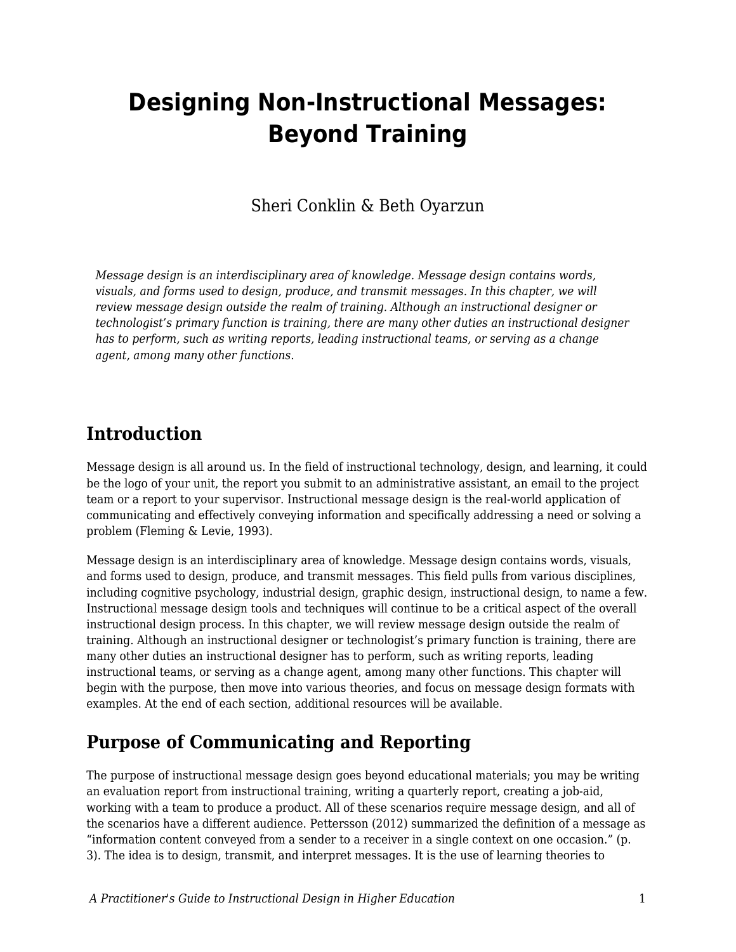# **Designing Non-Instructional Messages: Beyond Training**

# Sheri Conklin & Beth Oyarzun

*Message design is an interdisciplinary area of knowledge. Message design contains words, visuals, and forms used to design, produce, and transmit messages. In this chapter, we will review message design outside the realm of training. Although an instructional designer or technologist's primary function is training, there are many other duties an instructional designer has to perform, such as writing reports, leading instructional teams, or serving as a change agent, among many other functions.*

# **Introduction**

Message design is all around us. In the field of instructional technology, design, and learning, it could be the logo of your unit, the report you submit to an administrative assistant, an email to the project team or a report to your supervisor. Instructional message design is the real-world application of communicating and effectively conveying information and specifically addressing a need or solving a problem (Fleming & Levie, 1993).

Message design is an interdisciplinary area of knowledge. Message design contains words, visuals, and forms used to design, produce, and transmit messages. This field pulls from various disciplines, including cognitive psychology, industrial design, graphic design, instructional design, to name a few. Instructional message design tools and techniques will continue to be a critical aspect of the overall instructional design process. In this chapter, we will review message design outside the realm of training. Although an instructional designer or technologist's primary function is training, there are many other duties an instructional designer has to perform, such as writing reports, leading instructional teams, or serving as a change agent, among many other functions. This chapter will begin with the purpose, then move into various theories, and focus on message design formats with examples. At the end of each section, additional resources will be available.

# **Purpose of Communicating and Reporting**

The purpose of instructional message design goes beyond educational materials; you may be writing an evaluation report from instructional training, writing a quarterly report, creating a job-aid, working with a team to produce a product. All of these scenarios require message design, and all of the scenarios have a different audience. Pettersson (2012) summarized the definition of a message as "information content conveyed from a sender to a receiver in a single context on one occasion." (p. 3). The idea is to design, transmit, and interpret messages. It is the use of learning theories to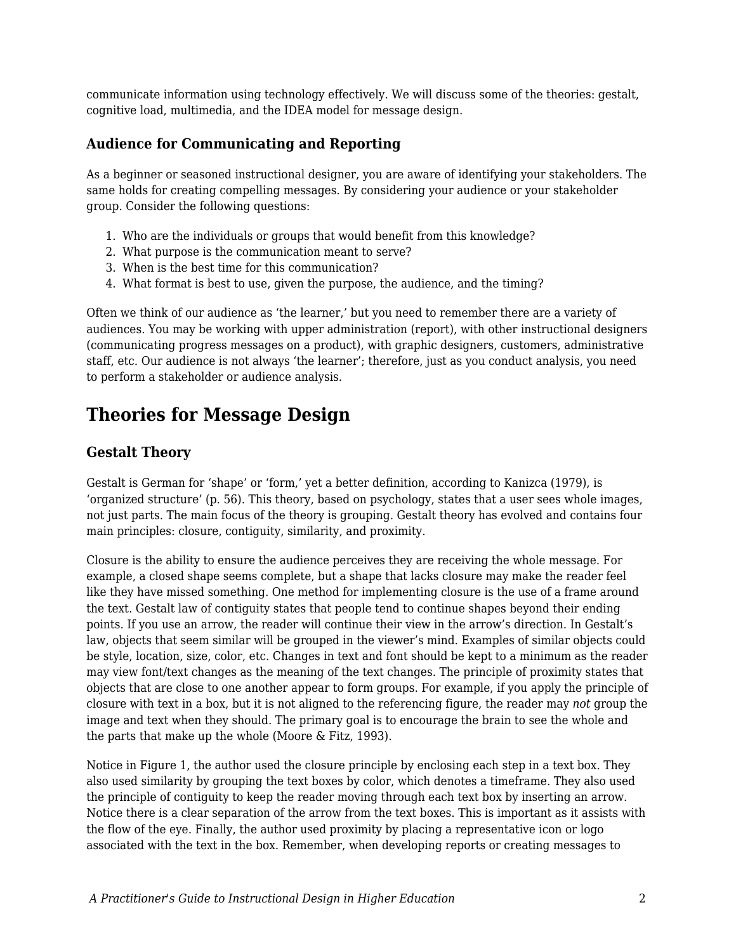communicate information using technology effectively. We will discuss some of the theories: gestalt, cognitive load, multimedia, and the IDEA model for message design.

# **Audience for Communicating and Reporting**

As a beginner or seasoned instructional designer, you are aware of identifying your stakeholders. The same holds for creating compelling messages. By considering your audience or your stakeholder group. Consider the following questions:

- 1. Who are the individuals or groups that would benefit from this knowledge?
- 2. What purpose is the communication meant to serve?
- 3. When is the best time for this communication?
- 4. What format is best to use, given the purpose, the audience, and the timing?

Often we think of our audience as 'the learner,' but you need to remember there are a variety of audiences. You may be working with upper administration (report), with other instructional designers (communicating progress messages on a product), with graphic designers, customers, administrative staff, etc. Our audience is not always 'the learner'; therefore, just as you conduct analysis, you need to perform a stakeholder or audience analysis.

# **Theories for Message Design**

# **Gestalt Theory**

Gestalt is German for 'shape' or 'form,' yet a better definition, according to Kanizca (1979), is 'organized structure' (p. 56). This theory, based on psychology, states that a user sees whole images, not just parts. The main focus of the theory is grouping. Gestalt theory has evolved and contains four main principles: closure, contiguity, similarity, and proximity.

Closure is the ability to ensure the audience perceives they are receiving the whole message. For example, a closed shape seems complete, but a shape that lacks closure may make the reader feel like they have missed something. One method for implementing closure is the use of a frame around the text. Gestalt law of contiguity states that people tend to continue shapes beyond their ending points. If you use an arrow, the reader will continue their view in the arrow's direction. In Gestalt's law, objects that seem similar will be grouped in the viewer's mind. Examples of similar objects could be style, location, size, color, etc. Changes in text and font should be kept to a minimum as the reader may view font/text changes as the meaning of the text changes. The principle of proximity states that objects that are close to one another appear to form groups. For example, if you apply the principle of closure with text in a box, but it is not aligned to the referencing figure, the reader may *not* group the image and text when they should. The primary goal is to encourage the brain to see the whole and the parts that make up the whole (Moore & Fitz, 1993).

Notice in Figure 1, the author used the closure principle by enclosing each step in a text box. They also used similarity by grouping the text boxes by color, which denotes a timeframe. They also used the principle of contiguity to keep the reader moving through each text box by inserting an arrow. Notice there is a clear separation of the arrow from the text boxes. This is important as it assists with the flow of the eye. Finally, the author used proximity by placing a representative icon or logo associated with the text in the box. Remember, when developing reports or creating messages to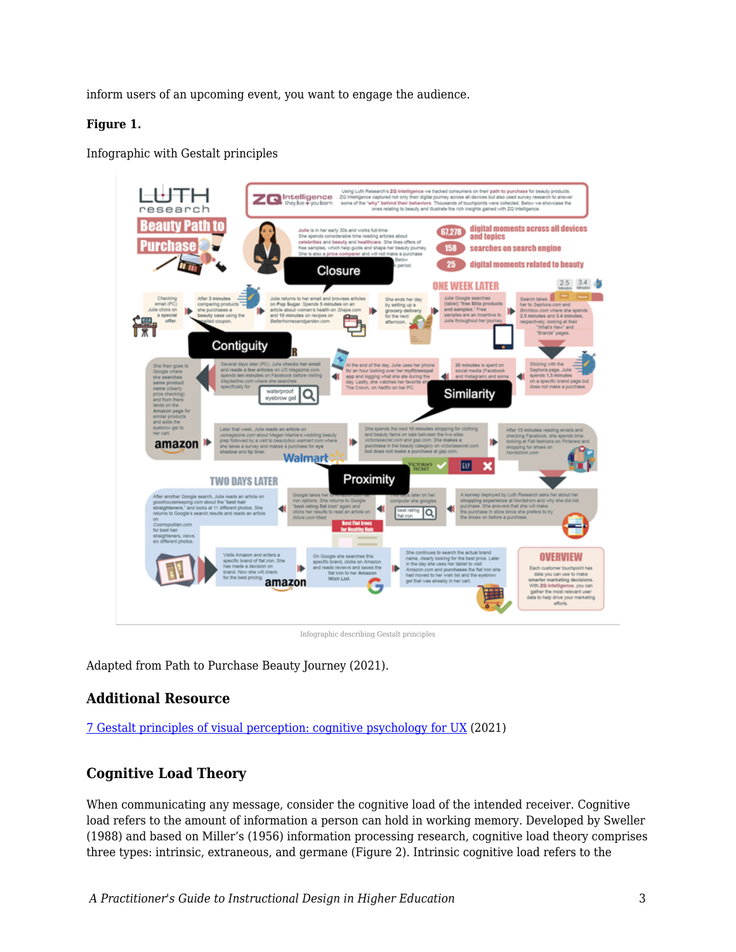inform users of an upcoming event, you want to engage the audience.

#### **Figure 1.**

Infographic with Gestalt principles



Infographic describing Gestalt principles

Adapted from Path to Purchase Beauty Journey (2021).

### **Additional Resource**

[7 Gestalt principles of visual perception: cognitive psychology for UX](https://www.usertesting.com/blog/gestalt-principles) (2021)

# **Cognitive Load Theory**

When communicating any message, consider the cognitive load of the intended receiver. Cognitive load refers to the amount of information a person can hold in working memory. Developed by Sweller (1988) and based on Miller's (1956) information processing research, cognitive load theory comprises three types: intrinsic, extraneous, and germane (Figure 2). Intrinsic cognitive load refers to the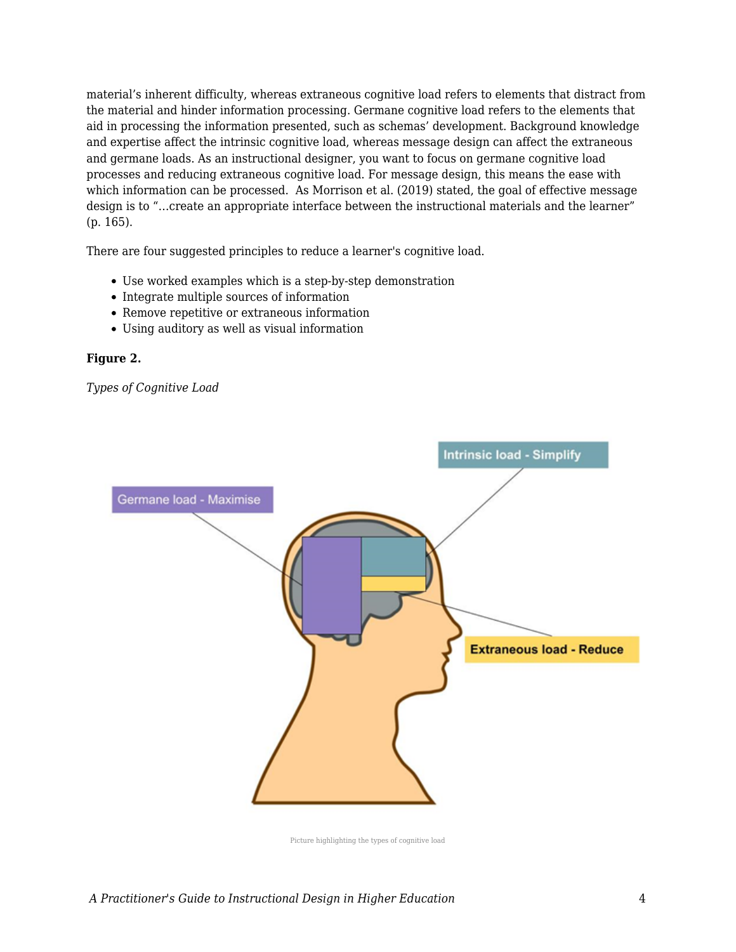material's inherent difficulty, whereas extraneous cognitive load refers to elements that distract from the material and hinder information processing. Germane cognitive load refers to the elements that aid in processing the information presented, such as schemas' development. Background knowledge and expertise affect the intrinsic cognitive load, whereas message design can affect the extraneous and germane loads. As an instructional designer, you want to focus on germane cognitive load processes and reducing extraneous cognitive load. For message design, this means the ease with which information can be processed. As Morrison et al. (2019) stated, the goal of effective message design is to "…create an appropriate interface between the instructional materials and the learner" (p. 165).

There are four suggested principles to reduce a learner's cognitive load.

- Use worked examples which is a step-by-step demonstration
- Integrate multiple sources of information
- Remove repetitive or extraneous information
- Using auditory as well as visual information

#### **Figure 2.**

*Types of Cognitive Load*



Picture highlighting the types of cognitive load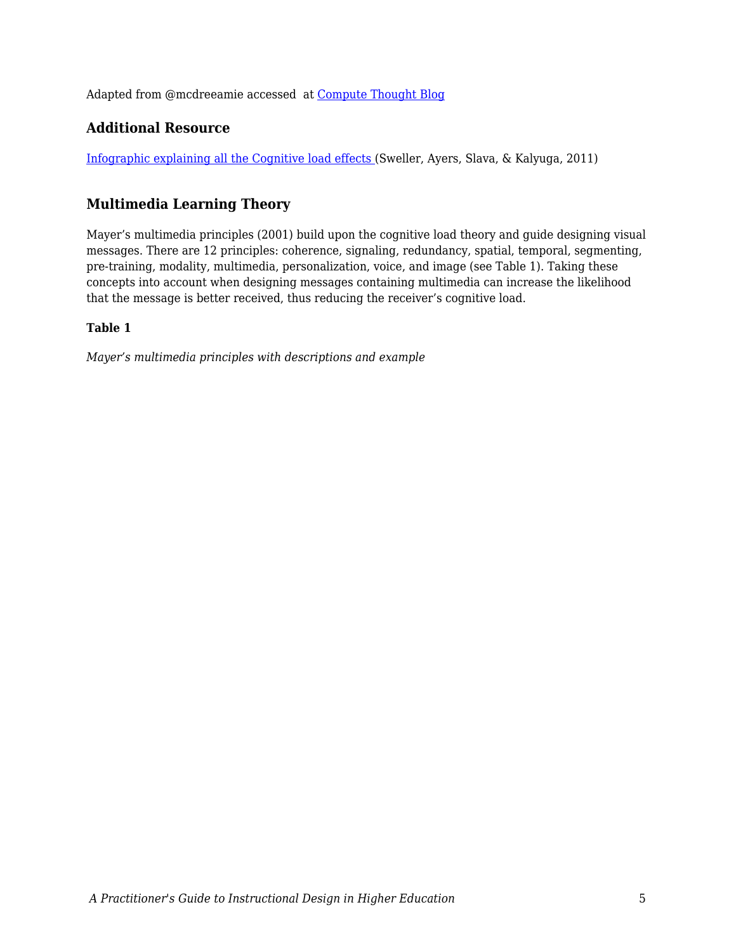Adapted from @mcdreeamie accessed at [Compute Thought Blog](https://computethought.blog/2020/05/18/cognitive-load-and-coding/)

# **Additional Resource**

[Infographic explaining all the Cognitive load effects \(](https://teachinghow2s.com/faq/cognitive-load-theory)Sweller, Ayers, Slava, & Kalyuga, 2011)

# **Multimedia Learning Theory**

Mayer's multimedia principles (2001) build upon the cognitive load theory and guide designing visual messages. There are 12 principles: coherence, signaling, redundancy, spatial, temporal, segmenting, pre-training, modality, multimedia, personalization, voice, and image (see Table 1). Taking these concepts into account when designing messages containing multimedia can increase the likelihood that the message is better received, thus reducing the receiver's cognitive load.

#### **Table 1**

*Mayer's multimedia principles with descriptions and example*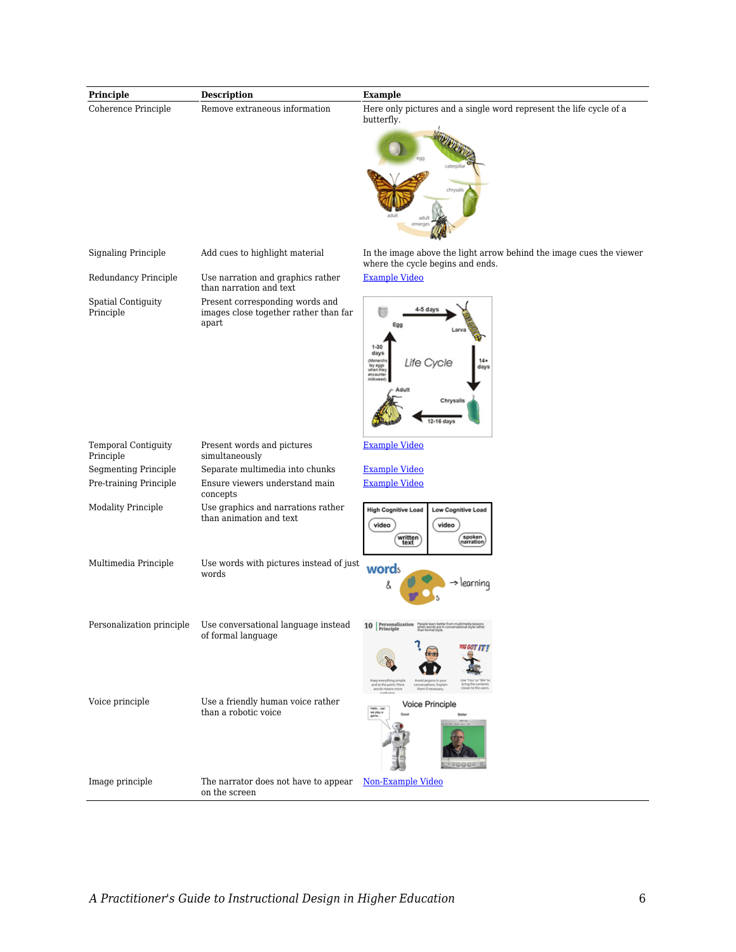| Principle                              | <b>Description</b>                                                                | <b>Example</b>                                                                                              |
|----------------------------------------|-----------------------------------------------------------------------------------|-------------------------------------------------------------------------------------------------------------|
| Coherence Principle                    | Remove extraneous information                                                     | Here only pictures and a single word represent the life cycle of a<br>butterfly.                            |
|                                        |                                                                                   |                                                                                                             |
|                                        |                                                                                   | chrys                                                                                                       |
| <b>Signaling Principle</b>             | Add cues to highlight material                                                    | In the image above the light arrow behind the image cues the viewer<br>where the cycle begins and ends.     |
| Redundancy Principle                   | Use narration and graphics rather<br>than narration and text                      | <b>Example Video</b>                                                                                        |
| <b>Spatial Contiguity</b><br>Principle | Present corresponding words and<br>images close together rather than far<br>apart | 4-5 day<br>Egg                                                                                              |
|                                        |                                                                                   | $1 - 30$<br>days<br>$14+$<br>Monarch<br>Life Cycle<br>lay eggs<br>when they<br>days<br>encounte<br>milkweed |
|                                        |                                                                                   | Chrysalis<br>12-16 days                                                                                     |
| Temporal Contiguity<br>Principle       | Present words and pictures<br>simultaneously                                      | <b>Example Video</b>                                                                                        |
| <b>Segmenting Principle</b>            | Separate multimedia into chunks                                                   | <b>Example Video</b>                                                                                        |
| Pre-training Principle                 | Ensure viewers understand main<br>concepts                                        | <b>Example Video</b>                                                                                        |
| <b>Modality Principle</b>              | Use graphics and narrations rather<br>than animation and text                     | <b>High Cognitive Load</b><br>Low Cognitive Load<br>video<br>video<br>spoken<br>narration<br>written        |
| Multimedia Principle                   | Use words with pictures instead of just<br>words                                  | words<br>$\rightarrow$ learning<br>å                                                                        |
| Personalization principle              | Use conversational language instead<br>of formal language                         | 10 Personalization                                                                                          |
|                                        |                                                                                   |                                                                                                             |
| Voice principle                        | Use a friendly human voice rather<br>than a robotic voice                         | Voice Principle<br>Hello  car<br>we play a<br>game                                                          |
| Image principle                        | The narrator does not have to appear<br>on the screen                             | Non-Example Video                                                                                           |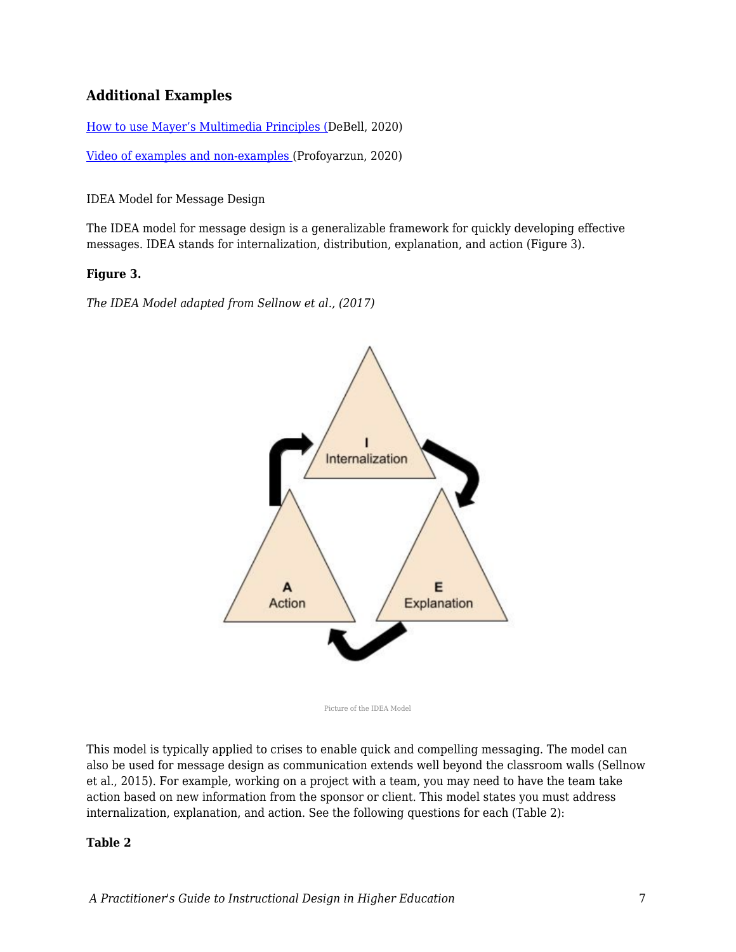# **Additional Examples**

[How to use Mayer's Multimedia Principles \(D](https://waterbearlearning.com/mayers-principles-multimedia-learning/)eBell, 2020)

[Video of examples and non-examples \(](https://www.youtube.com/watch?v=7QnGHXBMNKg)Profoyarzun, 2020)

IDEA Model for Message Design

The IDEA model for message design is a generalizable framework for quickly developing effective messages. IDEA stands for internalization, distribution, explanation, and action (Figure 3).

#### **Figure 3.**

*The IDEA Model adapted from Sellnow et al., (2017)*



Picture of the IDEA Model

This model is typically applied to crises to enable quick and compelling messaging. The model can also be used for message design as communication extends well beyond the classroom walls (Sellnow et al., 2015). For example, working on a project with a team, you may need to have the team take action based on new information from the sponsor or client. This model states you must address internalization, explanation, and action. See the following questions for each (Table 2):

#### **Table 2**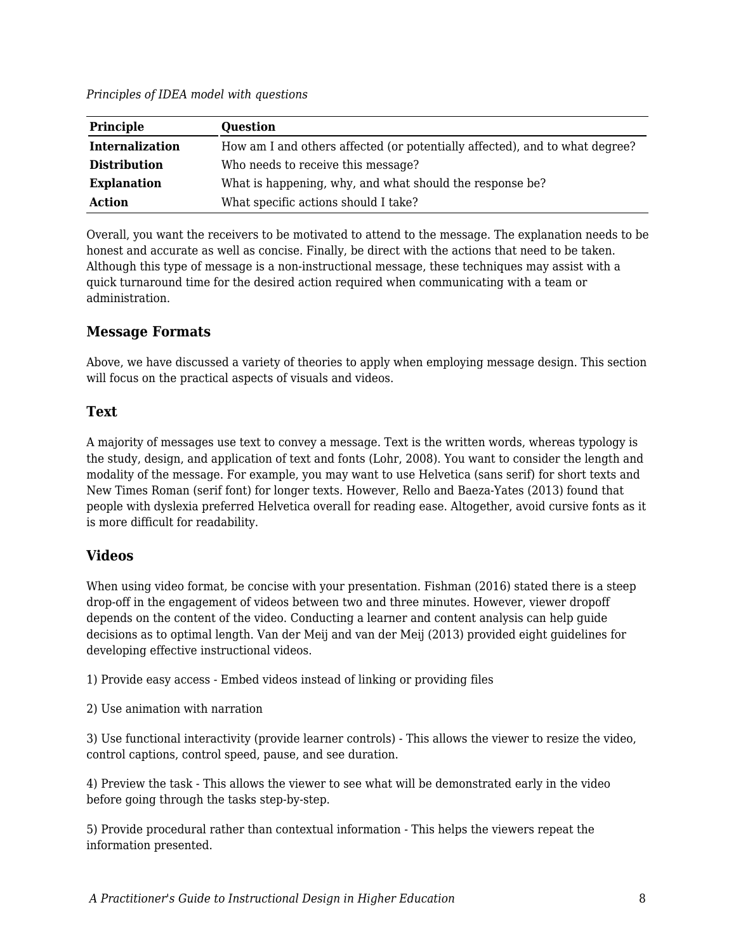*Principles of IDEA model with questions*

| Principle              | <b>Question</b>                                                             |  |
|------------------------|-----------------------------------------------------------------------------|--|
| <b>Internalization</b> | How am I and others affected (or potentially affected), and to what degree? |  |
| <b>Distribution</b>    | Who needs to receive this message?                                          |  |
| <b>Explanation</b>     | What is happening, why, and what should the response be?                    |  |
| Action                 | What specific actions should I take?                                        |  |

Overall, you want the receivers to be motivated to attend to the message. The explanation needs to be honest and accurate as well as concise. Finally, be direct with the actions that need to be taken. Although this type of message is a non-instructional message, these techniques may assist with a quick turnaround time for the desired action required when communicating with a team or administration.

# **Message Formats**

Above, we have discussed a variety of theories to apply when employing message design. This section will focus on the practical aspects of visuals and videos.

### **Text**

A majority of messages use text to convey a message. Text is the written words, whereas typology is the study, design, and application of text and fonts (Lohr, 2008). You want to consider the length and modality of the message. For example, you may want to use Helvetica (sans serif) for short texts and New Times Roman (serif font) for longer texts. However, Rello and Baeza-Yates (2013) found that people with dyslexia preferred Helvetica overall for reading ease. Altogether, avoid cursive fonts as it is more difficult for readability.

### **Videos**

When using video format, be concise with your presentation. Fishman (2016) stated there is a steep drop-off in the engagement of videos between two and three minutes. However, viewer dropoff depends on the content of the video. Conducting a learner and content analysis can help guide decisions as to optimal length. Van der Meij and van der Meij (2013) provided eight guidelines for developing effective instructional videos.

1) Provide easy access - Embed videos instead of linking or providing files

2) Use animation with narration

3) Use functional interactivity (provide learner controls) - This allows the viewer to resize the video, control captions, control speed, pause, and see duration.

4) Preview the task - This allows the viewer to see what will be demonstrated early in the video before going through the tasks step-by-step.

5) Provide procedural rather than contextual information - This helps the viewers repeat the information presented.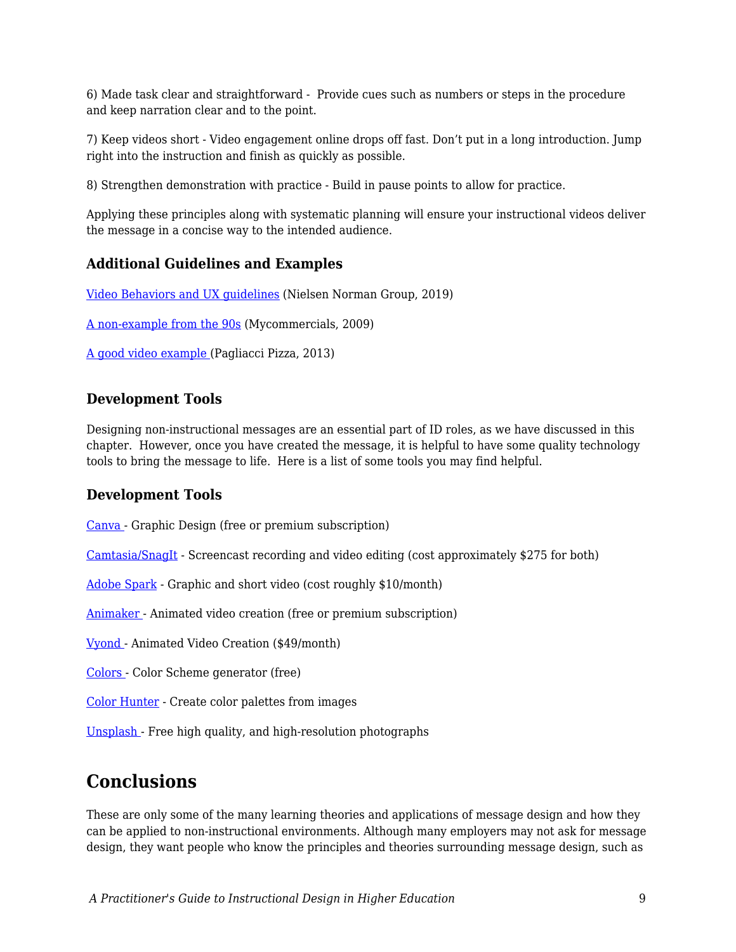6) Made task clear and straightforward - Provide cues such as numbers or steps in the procedure and keep narration clear and to the point.

7) Keep videos short - Video engagement online drops off fast. Don't put in a long introduction. Jump right into the instruction and finish as quickly as possible.

8) Strengthen demonstration with practice - Build in pause points to allow for practice.

Applying these principles along with systematic planning will ensure your instructional videos deliver the message in a concise way to the intended audience.

### **Additional Guidelines and Examples**

[Video Behaviors and UX guidelines](https://www.nngroup.com/articles/instructional-video-guidelines/) (Nielsen Norman Group, 2019)

[A non-example from the 90s](https://www.youtube.com/watch?v=1npzZu83AfU&t=18s) (Mycommercials, 2009)

[A good video example](https://www.youtube.com/watch?v=VIJlRXMfW50&t=140s) (Pagliacci Pizza, 2013)

# **Development Tools**

Designing non-instructional messages are an essential part of ID roles, as we have discussed in this chapter. However, once you have created the message, it is helpful to have some quality technology tools to bring the message to life. Here is a list of some tools you may find helpful.

### **Development Tools**

[Canva](https://www.canva.com/) - Graphic Design (free or premium subscription)

[Camtasia/SnagIt](https://www.techsmith.com/video-editor.html) - Screencast recording and video editing (cost approximately \$275 for both)

[Adobe Spark](https://www.adobe.com/express/) - Graphic and short video (cost roughly \$10/month)

[Animaker](https://www.animaker.com/) - Animated video creation (free or premium subscription)

[Vyond](https://www.vyond.com/) - Animated Video Creation (\$49/month)

[Colors](https://coolors.co/) - Color Scheme generator (free)

[Color Hunter](http://www.colorhunter.com/) - Create color palettes from images

[Unsplash](https://unsplash.com/) - Free high quality, and high-resolution photographs

# **Conclusions**

These are only some of the many learning theories and applications of message design and how they can be applied to non-instructional environments. Although many employers may not ask for message design, they want people who know the principles and theories surrounding message design, such as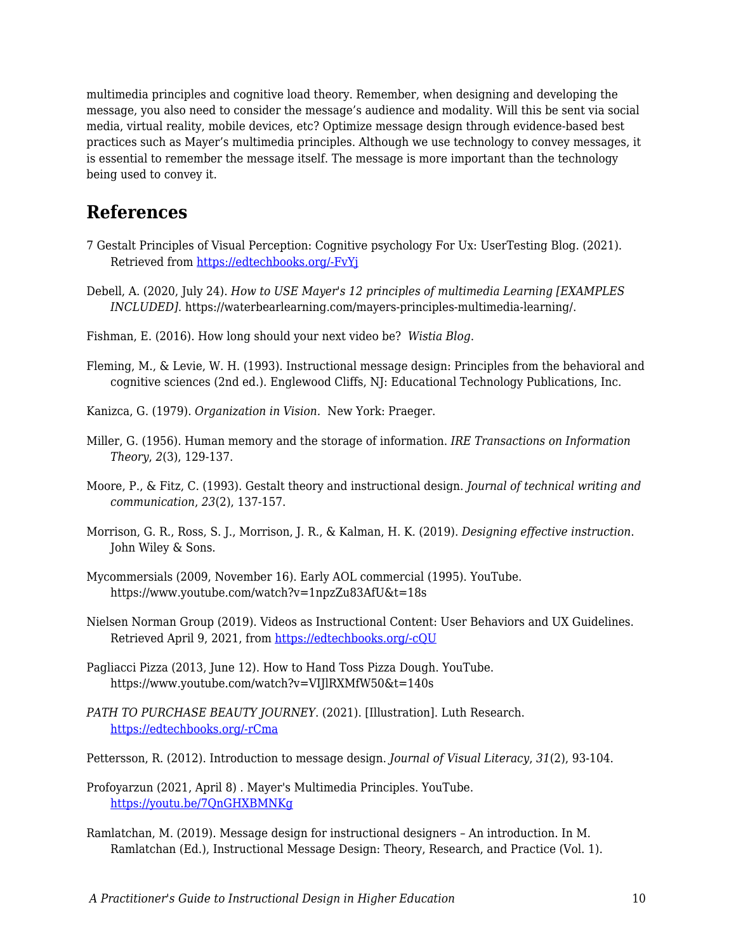multimedia principles and cognitive load theory. Remember, when designing and developing the message, you also need to consider the message's audience and modality. Will this be sent via social media, virtual reality, mobile devices, etc? Optimize message design through evidence-based best practices such as Mayer's multimedia principles. Although we use technology to convey messages, it is essential to remember the message itself. The message is more important than the technology being used to convey it.

# **References**

- 7 Gestalt Principles of Visual Perception: Cognitive psychology For Ux: UserTesting Blog. (2021). Retrieved from [https://edtechbooks.org/-FvYj](https://www.usertesting.com/blog/gestalt-principles)
- Debell, A. (2020, July 24). *How to USE Mayer's 12 principles of multimedia Learning [EXAMPLES INCLUDED]*. https://waterbearlearning.com/mayers-principles-multimedia-learning/.
- Fishman, E. (2016). How long should your next video be? *Wistia Blog*.
- Fleming, M., & Levie, W. H. (1993). Instructional message design: Principles from the behavioral and cognitive sciences (2nd ed.). Englewood Cliffs, NJ: Educational Technology Publications, Inc.
- Kanizca, G. (1979). *Organization in Vision.* New York: Praeger.
- Miller, G. (1956). Human memory and the storage of information. *IRE Transactions on Information Theory*, *2*(3), 129-137.
- Moore, P., & Fitz, C. (1993). Gestalt theory and instructional design. *Journal of technical writing and communication*, *23*(2), 137-157.
- Morrison, G. R., Ross, S. J., Morrison, J. R., & Kalman, H. K. (2019). *Designing effective instruction*. John Wiley & Sons.
- Mycommersials (2009, November 16). Early AOL commercial (1995). YouTube. https://www.youtube.com/watch?v=1npzZu83AfU&t=18s
- Nielsen Norman Group (2019). Videos as Instructional Content: User Behaviors and UX Guidelines. Retrieved April 9, 2021, from [https://edtechbooks.org/-cQU](https://www.nngroup.com/articles/instructional-video-guidelines/)
- Pagliacci Pizza (2013, June 12). How to Hand Toss Pizza Dough. YouTube. https://www.youtube.com/watch?v=VIJlRXMfW50&t=140s
- *PATH TO PURCHASE BEAUTY JOURNEY*. (2021). [Illustration]. Luth Research. [https://edtechbooks.org/-rCma](https://luthresearch.com/infographic/path-to-purchase-beauty-journey/)
- Pettersson, R. (2012). Introduction to message design. *Journal of Visual Literacy*, *31*(2), 93-104.
- Profoyarzun (2021, April 8) . Mayer's Multimedia Principles. YouTube. <https://youtu.be/7QnGHXBMNKg>
- Ramlatchan, M. (2019). Message design for instructional designers An introduction. In M. Ramlatchan (Ed.), Instructional Message Design: Theory, Research, and Practice (Vol. 1).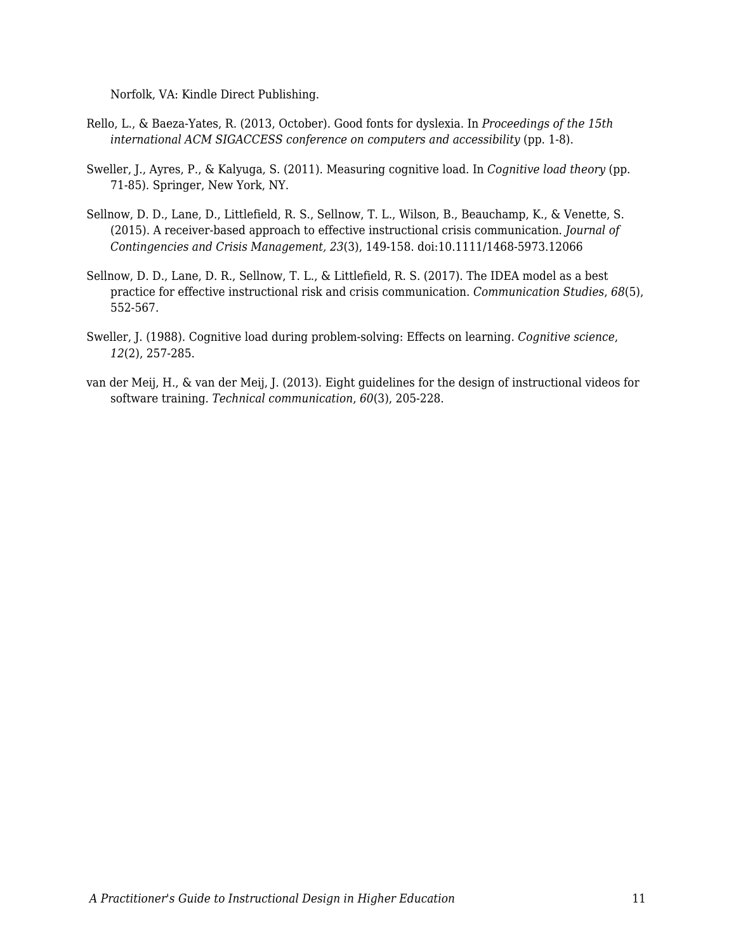Norfolk, VA: Kindle Direct Publishing.

- Rello, L., & Baeza-Yates, R. (2013, October). Good fonts for dyslexia. In *Proceedings of the 15th international ACM SIGACCESS conference on computers and accessibility* (pp. 1-8).
- Sweller, J., Ayres, P., & Kalyuga, S. (2011). Measuring cognitive load. In *Cognitive load theory* (pp. 71-85). Springer, New York, NY.
- Sellnow, D. D., Lane, D., Littlefield, R. S., Sellnow, T. L., Wilson, B., Beauchamp, K., & Venette, S. (2015). A receiver-based approach to effective instructional crisis communication. *Journal of Contingencies and Crisis Management, 23*(3), 149-158. doi:10.1111/1468-5973.12066
- Sellnow, D. D., Lane, D. R., Sellnow, T. L., & Littlefield, R. S. (2017). The IDEA model as a best practice for effective instructional risk and crisis communication. *Communication Studies*, *68*(5), 552-567.
- Sweller, J. (1988). Cognitive load during problem-solving: Effects on learning. *Cognitive science*, *12*(2), 257-285.
- van der Meij, H., & van der Meij, J. (2013). Eight guidelines for the design of instructional videos for software training. *Technical communication*, *60*(3), 205-228.